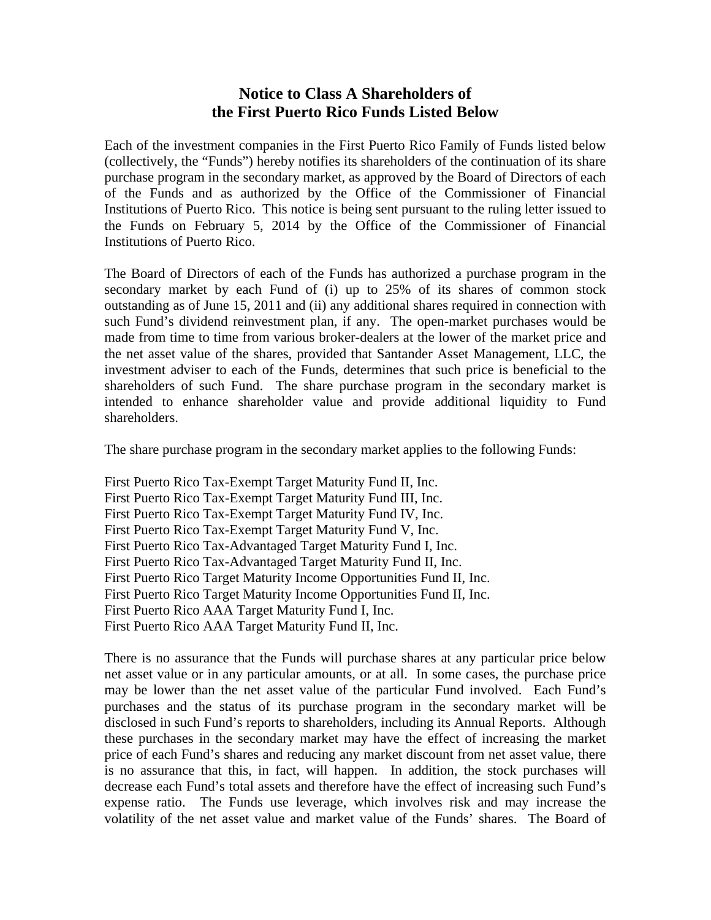## **Notice to Class A Shareholders of the First Puerto Rico Funds Listed Below**

Each of the investment companies in the First Puerto Rico Family of Funds listed below (collectively, the "Funds") hereby notifies its shareholders of the continuation of its share purchase program in the secondary market, as approved by the Board of Directors of each of the Funds and as authorized by the Office of the Commissioner of Financial Institutions of Puerto Rico. This notice is being sent pursuant to the ruling letter issued to the Funds on February 5, 2014 by the Office of the Commissioner of Financial Institutions of Puerto Rico.

The Board of Directors of each of the Funds has authorized a purchase program in the secondary market by each Fund of (i) up to 25% of its shares of common stock outstanding as of June 15, 2011 and (ii) any additional shares required in connection with such Fund's dividend reinvestment plan, if any. The open-market purchases would be made from time to time from various broker-dealers at the lower of the market price and the net asset value of the shares, provided that Santander Asset Management, LLC, the investment adviser to each of the Funds, determines that such price is beneficial to the shareholders of such Fund. The share purchase program in the secondary market is intended to enhance shareholder value and provide additional liquidity to Fund shareholders.

The share purchase program in the secondary market applies to the following Funds:

First Puerto Rico Tax-Exempt Target Maturity Fund II, Inc. First Puerto Rico Tax-Exempt Target Maturity Fund III, Inc. First Puerto Rico Tax-Exempt Target Maturity Fund IV, Inc. First Puerto Rico Tax-Exempt Target Maturity Fund V, Inc. First Puerto Rico Tax-Advantaged Target Maturity Fund I, Inc. First Puerto Rico Tax-Advantaged Target Maturity Fund II, Inc. First Puerto Rico Target Maturity Income Opportunities Fund II, Inc. First Puerto Rico Target Maturity Income Opportunities Fund II, Inc. First Puerto Rico AAA Target Maturity Fund I, Inc. First Puerto Rico AAA Target Maturity Fund II, Inc.

There is no assurance that the Funds will purchase shares at any particular price below net asset value or in any particular amounts, or at all. In some cases, the purchase price may be lower than the net asset value of the particular Fund involved. Each Fund's purchases and the status of its purchase program in the secondary market will be disclosed in such Fund's reports to shareholders, including its Annual Reports. Although these purchases in the secondary market may have the effect of increasing the market price of each Fund's shares and reducing any market discount from net asset value, there is no assurance that this, in fact, will happen. In addition, the stock purchases will decrease each Fund's total assets and therefore have the effect of increasing such Fund's expense ratio. The Funds use leverage, which involves risk and may increase the volatility of the net asset value and market value of the Funds' shares. The Board of